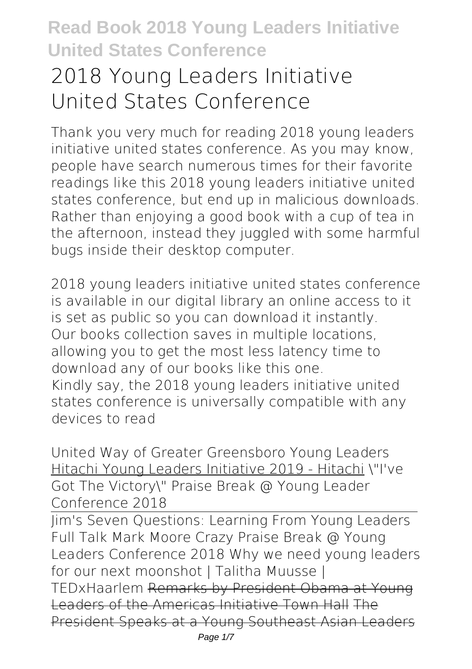# **2018 Young Leaders Initiative United States Conference**

Thank you very much for reading **2018 young leaders initiative united states conference**. As you may know, people have search numerous times for their favorite readings like this 2018 young leaders initiative united states conference, but end up in malicious downloads. Rather than enjoying a good book with a cup of tea in the afternoon, instead they juggled with some harmful bugs inside their desktop computer.

2018 young leaders initiative united states conference is available in our digital library an online access to it is set as public so you can download it instantly. Our books collection saves in multiple locations, allowing you to get the most less latency time to download any of our books like this one. Kindly say, the 2018 young leaders initiative united states conference is universally compatible with any devices to read

**United Way of Greater Greensboro Young Leaders** Hitachi Young Leaders Initiative 2019 - Hitachi \"I've Got The Victory\" Praise Break @ Young Leader Conference 2018

Jim's Seven Questions: Learning From Young Leaders Full Talk Mark Moore Crazy Praise Break @ Young Leaders Conference 2018 Why we need young leaders for our next moonshot | Talitha Muusse | TEDxHaarlem Remarks by President Obama at Young Leaders of the Americas Initiative Town Hall The President Speaks at a Young Southeast Asian Leaders Page  $1/7$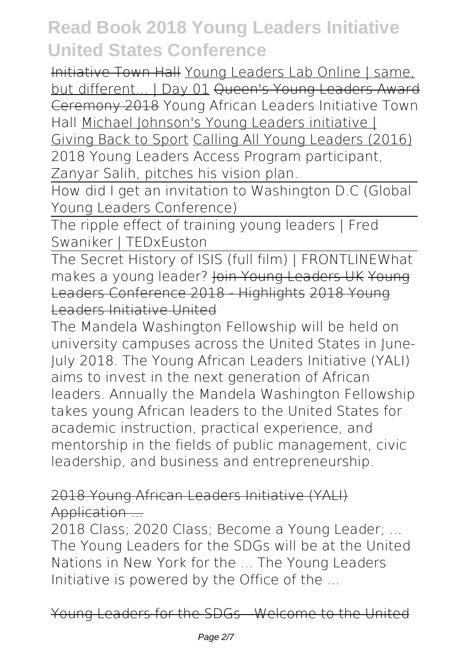Initiative Town Hall Young Leaders Lab Online | same, but different... | Day 01 Queen's Young Leaders Award Ceremony 2018 *Young African Leaders Initiative Town Hall* Michael Johnson's Young Leaders initiative |

Giving Back to Sport Calling All Young Leaders (2016) *2018 Young Leaders Access Program participant, Zanyar Salih, pitches his vision plan.*

How did I get an invitation to Washington D.C (Global Young Leaders Conference)

The ripple effect of training young leaders | Fred Swaniker | TEDxEuston

The Secret History of ISIS (full film) | FRONTLINE*What* makes a young leader? <del>Join Young Leaders UK Young</del> Leaders Conference 2018 - Highlights 2018 Young Leaders Initiative United

The Mandela Washington Fellowship will be held on university campuses across the United States in June-July 2018. The Young African Leaders Initiative (YALI) aims to invest in the next generation of African leaders. Annually the Mandela Washington Fellowship takes young African leaders to the United States for academic instruction, practical experience, and mentorship in the fields of public management, civic leadership, and business and entrepreneurship.

#### 2018 Young African Leaders Initiative (YALI) Application ...

2018 Class; 2020 Class; Become a Young Leader; ... The Young Leaders for the SDGs will be at the United Nations in New York for the ... The Young Leaders Initiative is powered by the Office of the ...

Young Leaders for the SDGs - Welcome to the United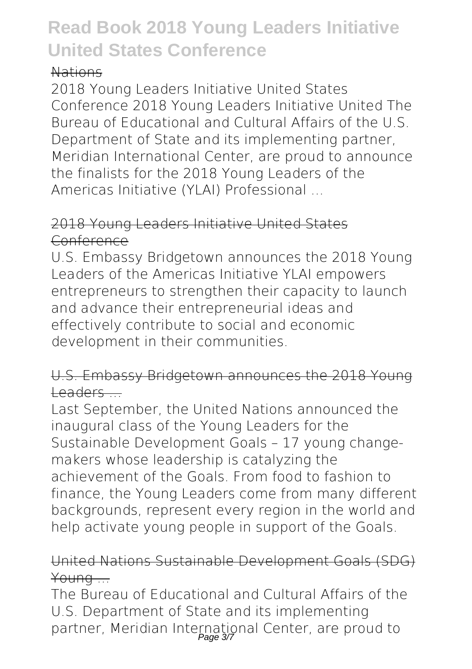#### Nations

2018 Young Leaders Initiative United States Conference 2018 Young Leaders Initiative United The Bureau of Educational and Cultural Affairs of the U.S. Department of State and its implementing partner, Meridian International Center, are proud to announce the finalists for the 2018 Young Leaders of the Americas Initiative (YLAI) Professional ...

#### 2018 Young Leaders Initiative United States Conference

U.S. Embassy Bridgetown announces the 2018 Young Leaders of the Americas Initiative YLAI empowers entrepreneurs to strengthen their capacity to launch and advance their entrepreneurial ideas and effectively contribute to social and economic development in their communities.

#### U.S. Embassy Bridgetown announces the 2018 Young  $L$ eaders  $\overline{\phantom{a}}$

Last September, the United Nations announced the inaugural class of the Young Leaders for the Sustainable Development Goals – 17 young changemakers whose leadership is catalyzing the achievement of the Goals. From food to fashion to finance, the Young Leaders come from many different backgrounds, represent every region in the world and help activate young people in support of the Goals.

#### United Nations Sustainable Development Goals (SDG) Young ...

The Bureau of Educational and Cultural Affairs of the U.S. Department of State and its implementing partner, Meridian International Center, are proud to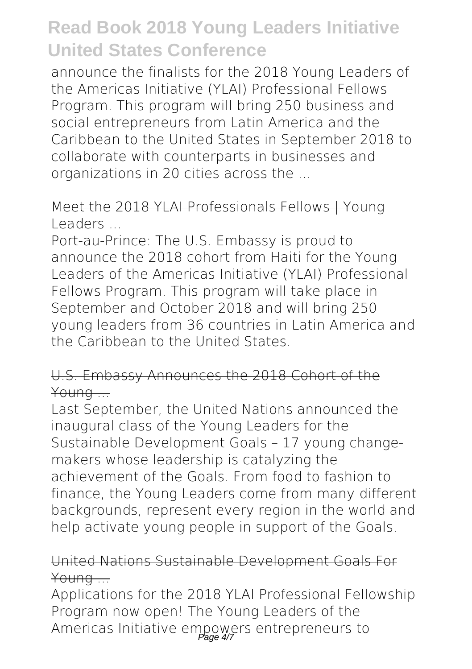announce the finalists for the 2018 Young Leaders of the Americas Initiative (YLAI) Professional Fellows Program. This program will bring 250 business and social entrepreneurs from Latin America and the Caribbean to the United States in September 2018 to collaborate with counterparts in businesses and organizations in 20 cities across the ...

#### Meet the 2018 YLAI Professionals Fellows | Young Leaders ...

Port-au-Prince: The U.S. Embassy is proud to announce the 2018 cohort from Haiti for the Young Leaders of the Americas Initiative (YLAI) Professional Fellows Program. This program will take place in September and October 2018 and will bring 250 young leaders from 36 countries in Latin America and the Caribbean to the United States.

#### U.S. Embassy Announces the 2018 Cohort of the Young ...

Last September, the United Nations announced the inaugural class of the Young Leaders for the Sustainable Development Goals – 17 young changemakers whose leadership is catalyzing the achievement of the Goals. From food to fashion to finance, the Young Leaders come from many different backgrounds, represent every region in the world and help activate young people in support of the Goals.

#### United Nations Sustainable Development Goals For Young ...

Applications for the 2018 YLAI Professional Fellowship Program now open! The Young Leaders of the Americas Initiative empowers entrepreneurs to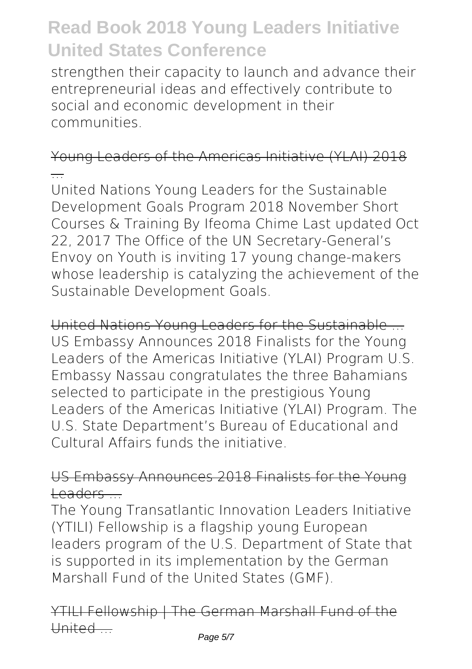strengthen their capacity to launch and advance their entrepreneurial ideas and effectively contribute to social and economic development in their communities.

Young Leaders of the Americas Initiative (YLAI) 2018 ...

United Nations Young Leaders for the Sustainable Development Goals Program 2018 November Short Courses & Training By Ifeoma Chime Last updated Oct 22, 2017 The Office of the UN Secretary-General's Envoy on Youth is inviting 17 young change-makers whose leadership is catalyzing the achievement of the Sustainable Development Goals.

United Nations Young Leaders for the Sustainable ... US Embassy Announces 2018 Finalists for the Young Leaders of the Americas Initiative (YLAI) Program U.S. Embassy Nassau congratulates the three Bahamians selected to participate in the prestigious Young Leaders of the Americas Initiative (YLAI) Program. The U.S. State Department's Bureau of Educational and Cultural Affairs funds the initiative.

US Embassy Announces 2018 Finalists for the Young Leaders ...

The Young Transatlantic Innovation Leaders Initiative (YTILI) Fellowship is a flagship young European leaders program of the U.S. Department of State that is supported in its implementation by the German Marshall Fund of the United States (GMF).

YTILI Fellowship | The German Marshall Fund of the United ...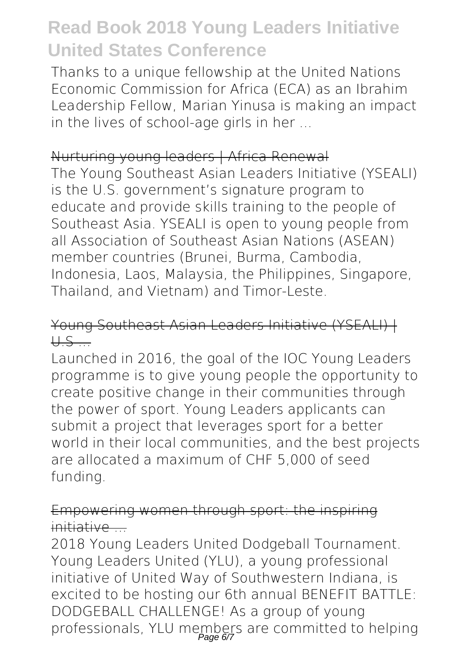Thanks to a unique fellowship at the United Nations Economic Commission for Africa (ECA) as an Ibrahim Leadership Fellow, Marian Yinusa is making an impact in the lives of school-age girls in her ...

#### Nurturing young leaders | Africa Renewal

The Young Southeast Asian Leaders Initiative (YSEALI) is the U.S. government's signature program to educate and provide skills training to the people of Southeast Asia. YSEALI is open to young people from all Association of Southeast Asian Nations (ASEAN) member countries (Brunei, Burma, Cambodia, Indonesia, Laos, Malaysia, the Philippines, Singapore, Thailand, and Vietnam) and Timor-Leste.

#### Young Southeast Asian Leaders Initiative (YSEALI) |  $H.S$

Launched in 2016, the goal of the IOC Young Leaders programme is to give young people the opportunity to create positive change in their communities through the power of sport. Young Leaders applicants can submit a project that leverages sport for a better world in their local communities, and the best projects are allocated a maximum of CHF 5,000 of seed funding.

#### Empowering women through sport: the inspiring initiative ...

2018 Young Leaders United Dodgeball Tournament. Young Leaders United (YLU), a young professional initiative of United Way of Southwestern Indiana, is excited to be hosting our 6th annual BENEFIT BATTLE: DODGEBALL CHALLENGE! As a group of young professionals, YLU members are committed to helping